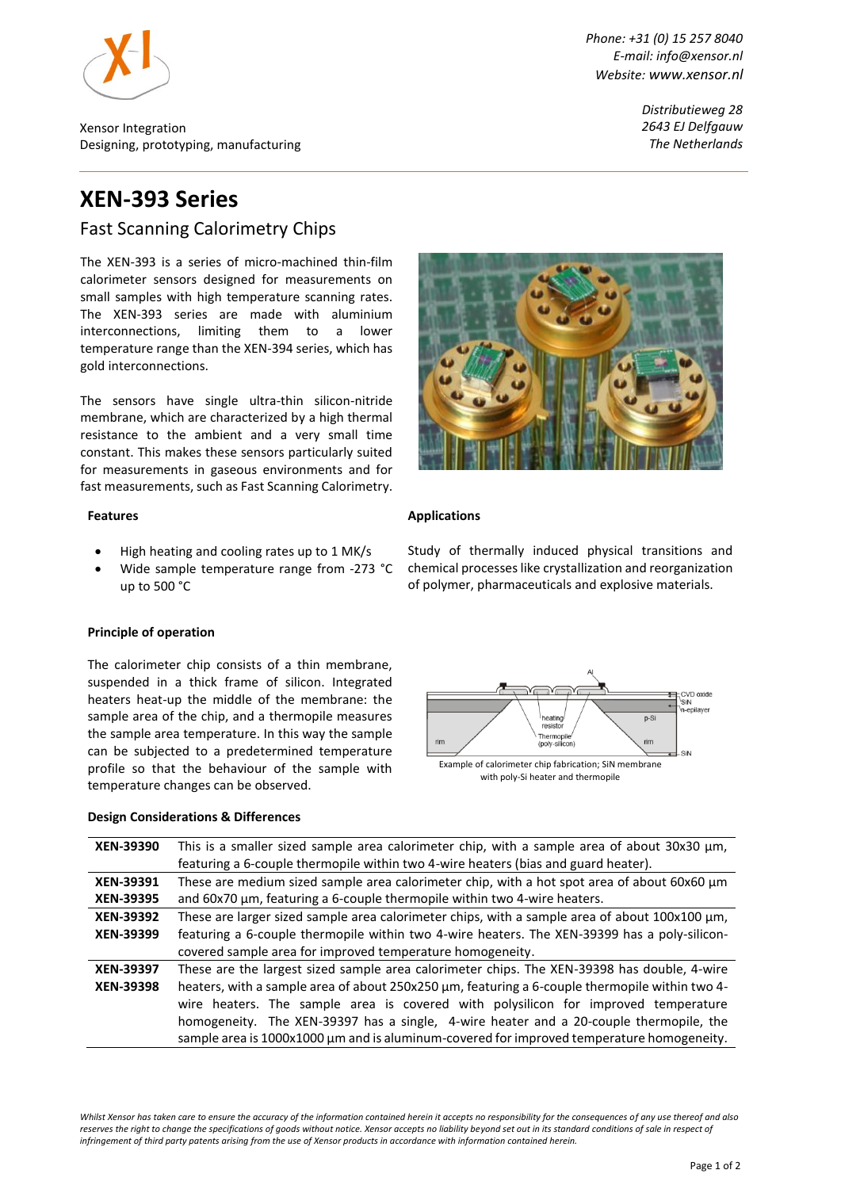

Xensor Integration Designing, prototyping, manufacturing *Phone: +31 (0) 15 257 8040 E-mail: info@xensor.nl Website: [www.xensor.nl](http://www.xensor.nl/)*

> *Distributieweg 28 2643 EJ Delfgauw The Netherlands*

# **XEN-393 Series**

# Fast Scanning Calorimetry Chips

The XEN-393 is a series of micro-machined thin-film calorimeter sensors designed for measurements on small samples with high temperature scanning rates. The XEN-393 series are made with aluminium interconnections, limiting them to a lower temperature range than the XEN-394 series, which has gold interconnections.

The sensors have single ultra-thin silicon-nitride membrane, which are characterized by a high thermal resistance to the ambient and a very small time constant. This makes these sensors particularly suited for measurements in gaseous environments and for fast measurements, such as Fast Scanning Calorimetry.

#### **Features**

- High heating and cooling rates up to 1 MK/s
- Wide sample temperature range from -273 °C up to 500 °C

#### **Principle of operation**

The calorimeter chip consists of a thin membrane, suspended in a thick frame of silicon. Integrated heaters heat-up the middle of the membrane: the sample area of the chip, and a thermopile measures the sample area temperature. In this way the sample can be subjected to a predetermined temperature profile so that the behaviour of the sample with temperature changes can be observed.

#### **Design Considerations & Differences**



#### **Applications**

Study of thermally induced physical transitions and chemical processeslike crystallization and reorganization of polymer, pharmaceuticals and explosive materials.



| XEN-39390                            | This is a smaller sized sample area calorimeter chip, with a sample area of about 30x30 $\mu$ m,<br>featuring a 6-couple thermopile within two 4-wire heaters (bias and guard heater).                                                                                                                                                                                                                                                                                     |  |  |  |  |  |  |
|--------------------------------------|----------------------------------------------------------------------------------------------------------------------------------------------------------------------------------------------------------------------------------------------------------------------------------------------------------------------------------------------------------------------------------------------------------------------------------------------------------------------------|--|--|--|--|--|--|
| <b>XEN-39391</b><br><b>XEN-39395</b> | These are medium sized sample area calorimeter chip, with a hot spot area of about 60x60 µm<br>and 60x70 µm, featuring a 6-couple thermopile within two 4-wire heaters.                                                                                                                                                                                                                                                                                                    |  |  |  |  |  |  |
| XEN-39392<br><b>XEN-39399</b>        | These are larger sized sample area calorimeter chips, with a sample area of about $100x100 \mu m$ ,<br>featuring a 6-couple thermopile within two 4-wire heaters. The XEN-39399 has a poly-silicon-<br>covered sample area for improved temperature homogeneity.                                                                                                                                                                                                           |  |  |  |  |  |  |
| <b>XEN-39397</b><br><b>XEN-39398</b> | These are the largest sized sample area calorimeter chips. The XEN-39398 has double, 4-wire<br>heaters, with a sample area of about 250x250 μm, featuring a 6-couple thermopile within two 4-<br>wire heaters. The sample area is covered with polysilicon for improved temperature<br>homogeneity. The XEN-39397 has a single, 4-wire heater and a 20-couple thermopile, the<br>sample area is 1000x1000 µm and is aluminum-covered for improved temperature homogeneity. |  |  |  |  |  |  |

*Whilst Xensor has taken care to ensure the accuracy of the information contained herein it accepts no responsibility for the consequences of any use thereof and also*  reserves the right to change the specifications of goods without notice. Xensor accepts no liability beyond set out in its standard conditions of sale in respect of *infringement of third party patents arising from the use of Xensor products in accordance with information contained herein.*